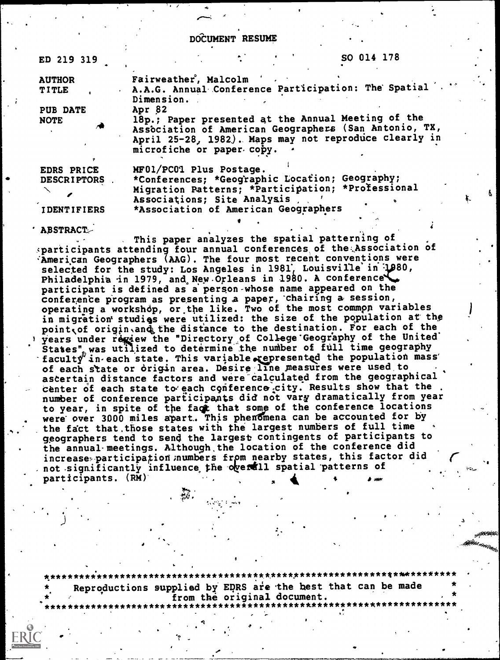DOCUMENT RESUME

| ED 219 319         | SO 014 178                                                                                                     |  |  |  |  |  |
|--------------------|----------------------------------------------------------------------------------------------------------------|--|--|--|--|--|
| <b>AUTHOR</b>      | Fairweather <sup>'</sup> , Malcolm<br>A.A.G. Annual Conference Participation: The Spatial                      |  |  |  |  |  |
| <b>TITLE</b>       | Dimension.                                                                                                     |  |  |  |  |  |
| <b>PUB DATE</b>    | Apr 82                                                                                                         |  |  |  |  |  |
| <b>NOTE</b>        | 18p.; Paper presented at the Annual Meeting of the                                                             |  |  |  |  |  |
|                    | Association of American Geographers (San Antonio, TX,<br>April 25-28, 1982). Maps may not reproduce clearly in |  |  |  |  |  |
|                    | microfiche or paper copy.                                                                                      |  |  |  |  |  |
| EDRS PRICE         | MF01/PC01 Plus Postage.                                                                                        |  |  |  |  |  |
| <b>DESCRIPTORS</b> | *Conferences; *Geographic Location; Geography;                                                                 |  |  |  |  |  |
|                    | Migration Patterns; *Participation; *Professional                                                              |  |  |  |  |  |
|                    | Associations; Site Analysis                                                                                    |  |  |  |  |  |
| <b>IDENTIFIERS</b> | *Association of American Geographers                                                                           |  |  |  |  |  |

ABSTRACT;

.

This paper analyzes the spatial patterning of sparticipants attending four annual conferences of the Association of American Geographers (AAG). The four most recent conventions were selected for the study: Los Angeles in 1981, Louisville in  $\mathcal{V}^{80}$ , Philadelphia in 1979, and New Orleans in 1980. A conference participant is defined as a person-whose name appeared on the conference program as presenting a paper, chairing a session,  $\overline{\phantom{a}}$ operating a workshdp, or,the like. Two of the most commpn variables in migration studies were utilized: the size of the population at the point of origin, and the distance to the destination. For each of the 1 years under regiew the "Directory of College Geography of the United States" was utilized to determine the number of full time geography  $\texttt{facult}^{\varphi'}$  in each state. This variable represented the population mass of each state or origin area. Desire line measures were used to ascertain distance factors and were'calcu1ated from the geographical center of each state to each conference city. Results show that the number of conference participants did not vary dramatically from year to year, in spite of the fact that some of the conference locations were over 3000 miles apart. This phenomena can be accounted for by the fact that those states with the largest numbers of full time geographers tend to send the largest contingents of participants to the annual-meetings. Although,the location of the conference did increase participation numbers from nearby states, this factor did not significantly influence the overall spatial patterns of participants. (RM) Ato

\*\*\*\*\*\*\*\*\*\*\*\*\*\*\*\*\*\*\*\*\*\*\*\*\* Reproductions supplied by EDRS are the best that can be made from the original document.

 $\lambda$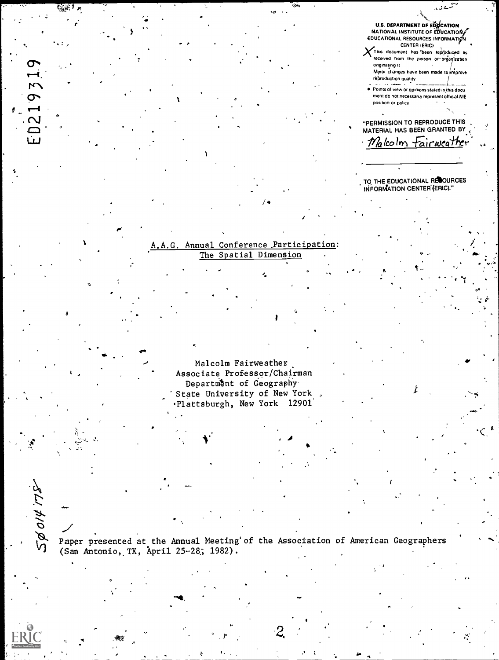U.S. DEPARTMENT DE EDJCATION<br>NATIONAL INSTITUTE OF EDUCATION EDUCATIONAL RESOURCES INFORMATION

X This document has been reproduced as received from the person or organization originating it Minor changes have been made to improve réproduction quality

. Points of view or opinions stated in this docu ment do not necessarily represent official NIE position or policy

"PERMISSION TO REPRODUCE THIS MATERIAL HAS BEEN GRANTED BY · Malcolm Fairweather

. TO THE EDUCATIONAL RESOURCES<br>∶INFORMATION CENTER (ERIC).''

#### A.A.G. Annual Conference Participation: The Spatial Dimension

219319

 $\mathbf{\Omega}$ 

50014175

Malcolm Fairweather Associate Professor/Chairman Department of Geography State University of New York Plattsburgh, New York 12901

Paper presented at the Annual Meeting' of the Association of American Geographers (San Antonio, TX, April 25-28; 1982).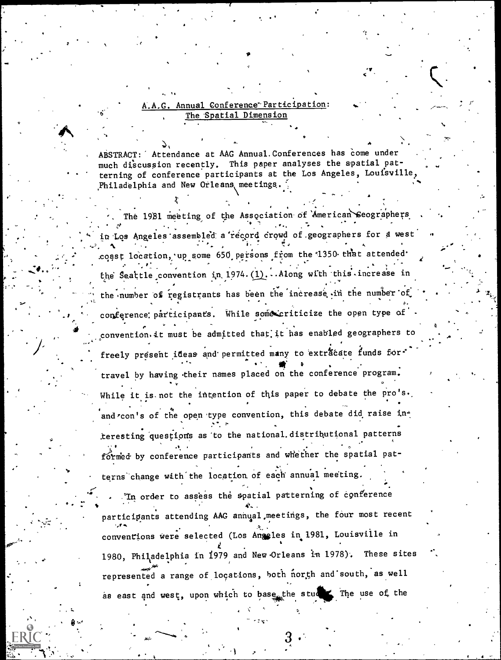### A.A.G. Annual Conference Participation: The Spatial Dimension

ABSTRACT: Attendance at AAG Annual. Conferences has come under much discussion recently. This paper analyses the spatial patterning of conference participants at the Los Angeles, Louisville, Philadelphia and New Orleans, meetings.

The 1981 meeting of the Association of American Seographers in Los Angeles assembled a record crowd of geographers for a west coast location, up some 650 persons from the 1350 that attended the Seattle convention in 1974. (1). . . Along with this increase in the number of registrants has been the increase in the number of conference participants. While some criticize the open type of convention it must be admitted that it has enabled geographers to freely present ideas and permitted many to extracate funds for travel by having their names placed on the conference program. While it is not the intention of this paper to debate the pro's. and roon's of the open type convention, this debate did raise interesting questions as to the national distributional patterns formed by conference participants and whether the spatial patterns change with the location of each annual meeting.

In order to assess the spatial patterning of conference participants attending AAG annual meetings, the four most recent conventions were selected (Los Angeles in 1981, Louisville in 1980, Philadelphia in 1979 and New Orleans in 1978). These sites represented a range of locations, both north and south, as well as east and west, upon which to base the studes The use of the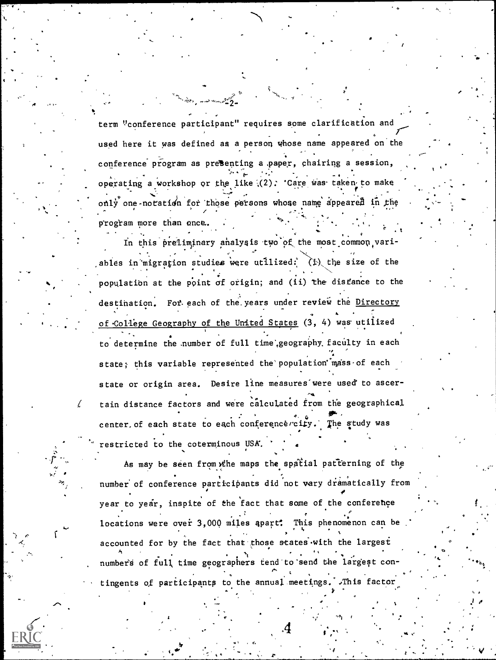term "conference participant" requires some clarification and a used here it was defined as a person whose name appeared on the conference program as presenting a .paper, chairing a session, operating a workshop or the like (2). 'Care was taken to make only one-notation for those persons whose name appeared in the . program more than once.

In this preliminary analysis two of the most common vari-. -. .- . N.s\_ . , ables in migration studies were utilized: (i) the size of the  $\mathbf{f}$ . . . -.: population at the point of origin; and (ii) the distance to the relational conditional conditional conditional destination. For each of the years under review the Directory of College Geography of the United States (3, 4) was utilized to determine the number of full time geography faculty in each state; this variable represented the population mass of each state or origin area. Desire line measures were used to ascertain distance factors and were calculated from the geographical . center of each state to each conference city. The study was restricted to the coterminous USA.

As may be seen from the maps the spatial patterning of the number of conference participants did not vary dramatically from year to year, inspite of the fact that some of the conference locations were over 3,000 miles apart. This phenomenon can be accounted for by the fact that those states with the largest 4 number's of full, time geographers tend to'send the largest con- ^ tingents of participants to the annual meetings. ,This factor

, and the set of  $\mathcal{A}$  , and  $\mathcal{A}$ 

 $\circ$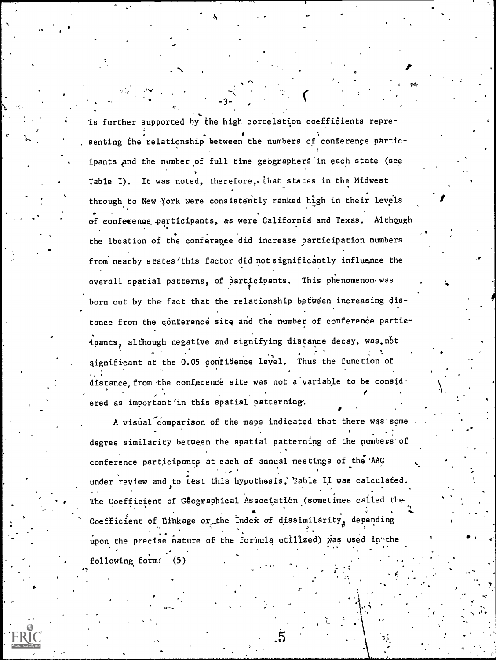is further supported by the high correlation coefficients representing the relationship between the numbers of conference participants and the number of full time geographers in each state (see Table I). It was noted, therefore, that states in the Midwest through to New York were consistently ranked high in their levels of conference participants, as were California and Texas. Although the location of the conference did increase participation numbers from nearby states 'this factor did not significantly influence the overall spatial patterns, of participants. This phenomenon was born out by the fact that the relationship between increasing distance from the conference site and the number of conference participants, although negative and signifying distance decay, was.not significant at the 0.05 confidence level. Thus the function of distance, from the conference site was not a variable to be considered as important'in this spatial patterning.

A visual comparison of the maps indicated that there was some degree similarity between the spatial patterning of the numbers of conference participants at each of annual meetings of the AAG under review and to test this hypothesis, Table II was calculated. The Coefficient of Geographical Association (sometimes called the Coefficient of Linkage or the Index of dissimilarity, depending upon the precise nature of the formula utilized) was used in the following form: (5)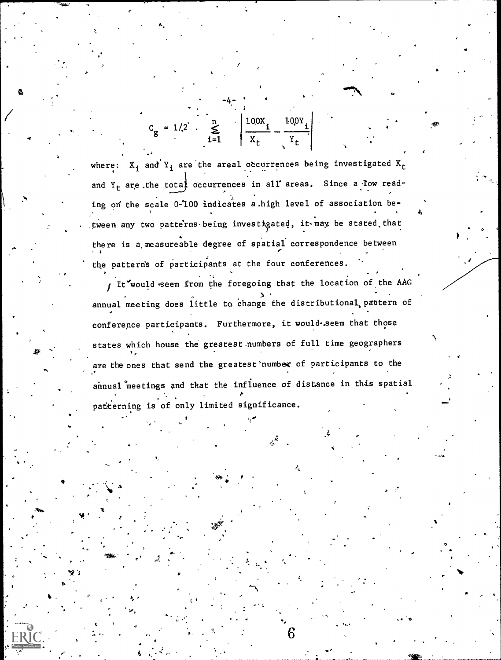$C_g = 1/2$   $\sum_{i=1}^{n}$   $\left| \frac{100X_i}{X_r} - \frac{100Y_i}{Y_r} \right|$ 

where:  $X_i$  and  $Y_i$  are the areal occurrences being investigated  $X_t$ and  $Y_t$  are the total occurrences in all areas. Since a low reading on the scale 0-100 indicates a high level of association between any two patterns being investigated, it may be stated that there is a measureable degree of spatial correspondence between the patterns of participants at the four conferences.

I It would seem from the foregoing that the location of the AAG annual meeting does little to change the distributional, pattern of conference participants. Furthermore, it would.seem that those states which house the greatest numbers of full time geographers are the ones that send the greatest number of participants to the annual meetings and that the influence of distance in this spatial patterning is of only limited significance.

6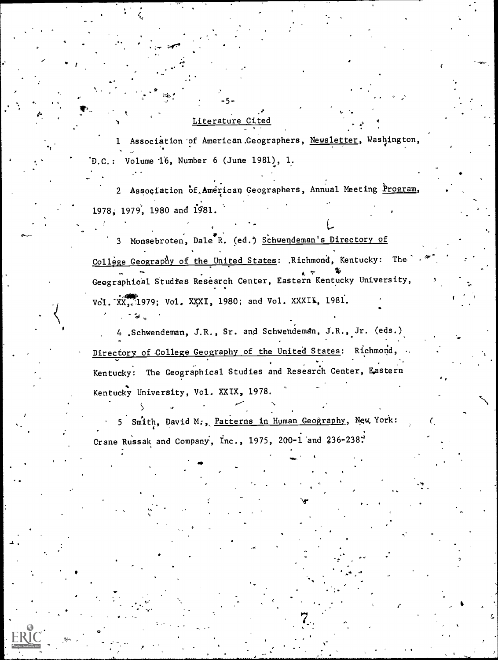#### Literature Cited

e Andreas Council

o

1991 - Jan Jawa

1 Association of American Geographers, Newsletter, Washington, 'D. C.: Volume 16, Number 6 (June 1981), 1.

-5-

2 Association of American Geographers, Annual Meeting Program, 1978, 1979, 1980 and 1581.

 $\mathcal{L}$ 

3 Monsebroten, Dale R. (ed.) Schwendeman's Directory of College Geography of the United States: . Richmond, Kentucky: The Geographical Studies Research Center, Eastern Kentucky University, Vol.  $XX$ , 1979; Vol. XXXI, 1980; and Vol. XXXII, 1981.

4 .Schwendeman, J.R., Sr. and Schwendeman, J.R., Jr. (eds.) Directory of College Geography of the United States: Richmond, Kentucky: The Geographical Studies and Research Center, Eastern Kentucky University, Vol. XXIX, 1978.

5 Smith, David M., Patterns in Human Geography, New York: Crane Russak and Company, Inc., 1975, 200-1 and 236-238.

 $\lambda$ 

r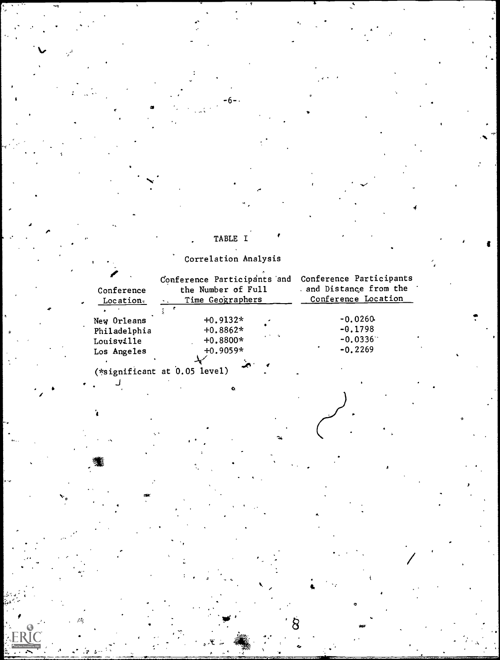## TABLE I

# Correlation Analysis

 $\mathcal{O}$  and  $\mathcal{O}$ 

**It is a set of the set of the set of the set of the set of the set of the set of the set of the set of the set of the set of the set of the set of the set of the set of the set of the set of the set of the set of the set** 

O

 $\wedge$ 

| Conference<br>Location | the Number of Full<br>Time Geographers |                                                             | Conference Participants and Conference Participants<br>and Distance from the<br>Conference Location |  |
|------------------------|----------------------------------------|-------------------------------------------------------------|-----------------------------------------------------------------------------------------------------|--|
|                        |                                        |                                                             |                                                                                                     |  |
| New Orleans            | $+0.9132*$                             |                                                             | $-0.0260$                                                                                           |  |
| Philadelphia           | $+0.8862*$                             |                                                             | $-0.1798$                                                                                           |  |
| Louisville             | $+0.8800*$                             | $\mathcal{L}^{\mathcal{M}}$ and $\mathcal{L}^{\mathcal{M}}$ | $-0.0336$                                                                                           |  |
| Los Angeles            | $+0.9059*$                             |                                                             | $-0.2269$                                                                                           |  |
|                        |                                        |                                                             |                                                                                                     |  |

 $\mathcal{A}$  and  $\mathcal{A}$ 

**O C C** 

(\*significant at 0.05 level)

O

ï

 $\mathcal{P} = \{P_1, \ldots, P_n\}$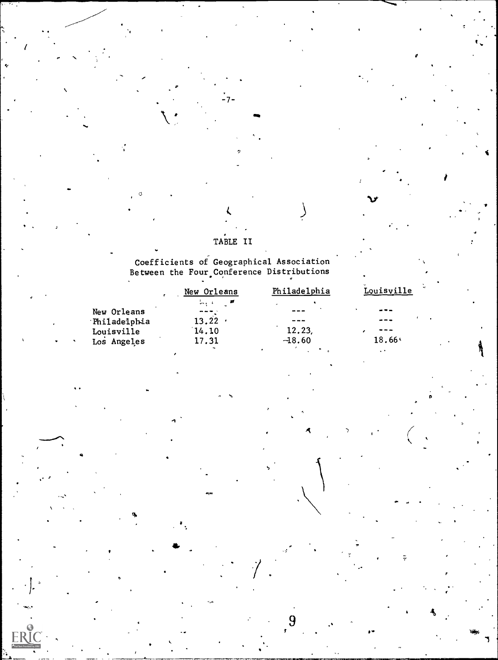### TABLE II

٠7٠

Coefficients of Geographical Association<br>Between the Four Conference Distributions

|              | New Orleans | Philadelphia | Louisville    |  |
|--------------|-------------|--------------|---------------|--|
|              | ا#البہان    | ۰            |               |  |
| New Orleans  |             | $\cdots$     | $- - -$       |  |
| Philadelphia | 13.22       | ---          | $\frac{1}{2}$ |  |
| Louisville   | 14.10       | 12.23,       | ---           |  |
| Los Angeles  | 17.31       | $-18.60$     | $18.66*$      |  |
|              |             |              |               |  |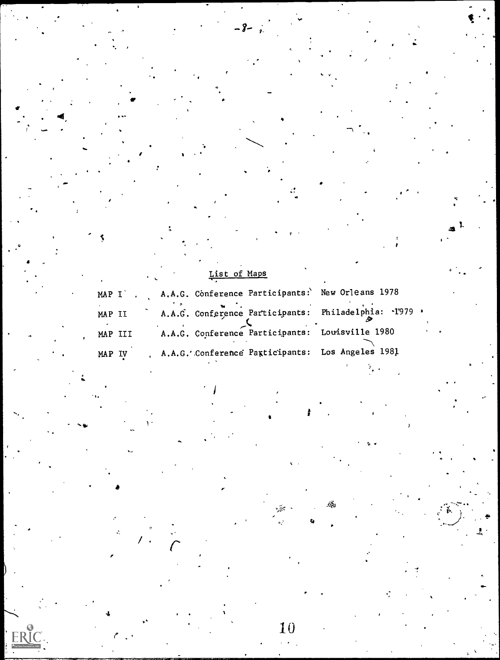|         |         | $\bullet$ . | List of Maps |                                                      |  |
|---------|---------|-------------|--------------|------------------------------------------------------|--|
|         | MAP I . |             |              | A.A.G. Conference Participants: New Orleans 1978     |  |
| MAP II  |         |             |              | A.A.G. Conference Participants: Philadelphia: 1979 . |  |
| MAP III |         |             |              | A.A.G. Conference Participants: Louisville 1980      |  |
| MAP     | - IV    |             |              | A.A.G. Conference Pagticipants: Los Angeles 1981     |  |

Ļ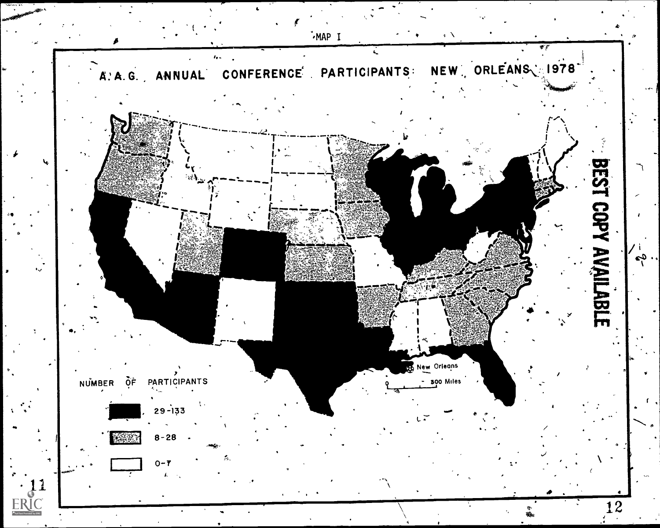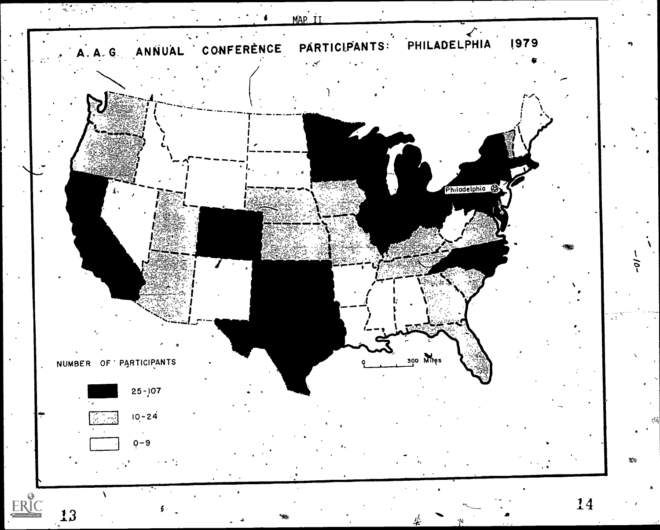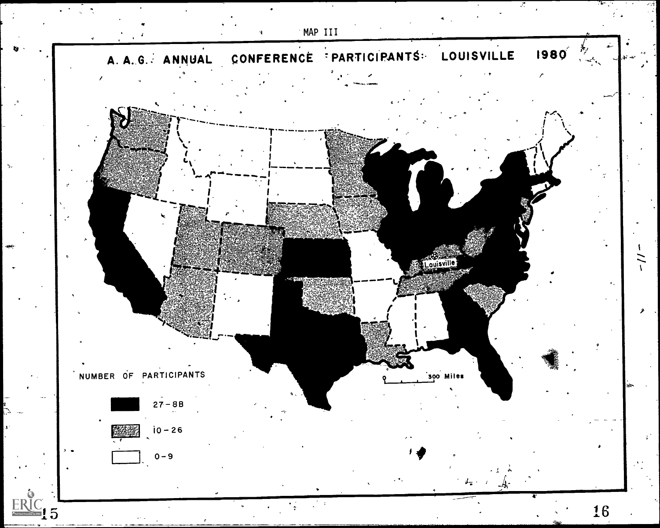